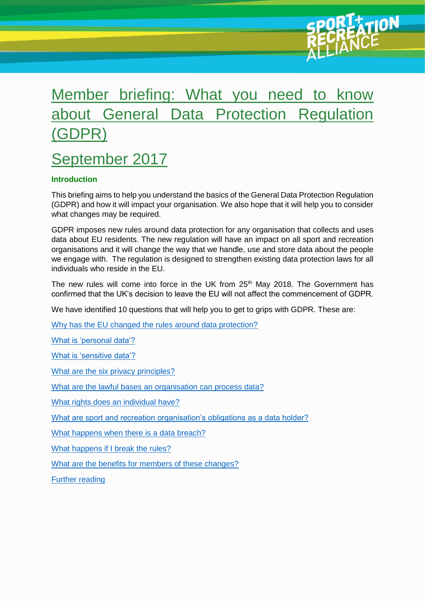# Member briefing: What you need to know about General Data Protection Regulation (GDPR)

## September 2017

## **Introduction**

This briefing aims to help you understand the basics of the General Data Protection Regulation (GDPR) and how it will impact your organisation. We also hope that it will help you to consider what changes may be required.

GDPR imposes new rules around data protection for any organisation that collects and uses data about EU residents. The new regulation will have an impact on all sport and recreation organisations and it will change the way that we handle, use and store data about the people we engage with. The regulation is designed to strengthen existing data protection laws for all individuals who reside in the EU.

The new rules will come into force in the UK from  $25<sup>th</sup>$  May 2018. The Government has confirmed that the UK's decision to leave the EU will not affect the commencement of GDPR.

We have identified 10 questions that will help you to get to grips with GDPR. These are:

Why has the [EU changed the rules around data protection?](#page-1-0)

[What is 'personal data'?](#page-1-1)

[What is 'sensitive data'?](#page-1-2)

[What are the six privacy principles?](#page-2-0)

[What are the lawful bases an organisation can process data?](#page-2-1)

[What rights does an individual have?](#page-2-2)

[What are sport and recreation organisation's obligations as a data holder?](#page-5-0)

[What happens when there is a data breach?](#page-6-0)

[What happens if I break the rules?](#page-6-1)

[What are the benefits for members of these changes?](#page-6-2)

[Further reading](#page-7-0)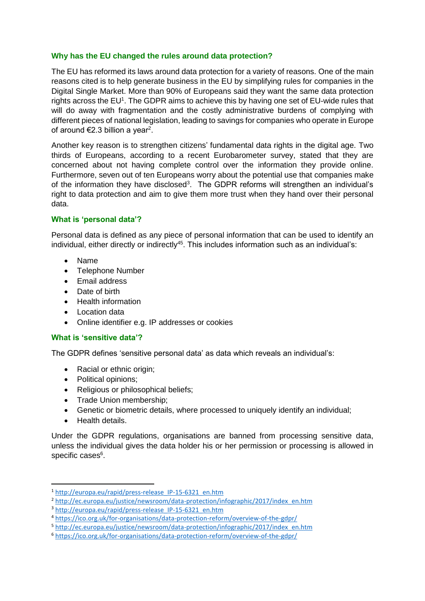#### <span id="page-1-0"></span>**Why has the EU changed the rules around data protection?**

The EU has reformed its laws around data protection for a variety of reasons. One of the main reasons cited is to help generate business in the EU by simplifying rules for companies in the Digital Single Market. More than 90% of Europeans said they want the same data protection rights across the EU<sup>1</sup>. The GDPR aims to achieve this by having one set of EU-wide rules that will do away with fragmentation and the costly administrative burdens of complying with different pieces of national legislation, leading to savings for companies who operate in Europe of around  $\epsilon$ 2.3 billion a year<sup>2</sup>.

Another key reason is to strengthen citizens' fundamental data rights in the digital age. Two thirds of Europeans, according to a recent Eurobarometer survey, stated that they are concerned about not having complete control over the information they provide online. Furthermore, seven out of ten Europeans worry about the potential use that companies make of the information they have disclosed<sup>3</sup>. The GDPR reforms will strengthen an individual's right to data protection and aim to give them more trust when they hand over their personal data.

## <span id="page-1-1"></span>**What is 'personal data'?**

Personal data is defined as any piece of personal information that can be used to identify an individual, either directly or indirectly<sup>45</sup>. This includes information such as an individual's:

- Name
- Telephone Number
- Email address
- Date of birth
- Health information
- Location data
- Online identifier e.g. IP addresses or cookies

#### <span id="page-1-2"></span>**What is 'sensitive data'?**

The GDPR defines 'sensitive personal data' as data which reveals an individual's:

- Racial or ethnic origin;
- Political opinions;
- Religious or philosophical beliefs;
- Trade Union membership;
- Genetic or biometric details, where processed to uniquely identify an individual;
- Health details.

**.** 

Under the GDPR regulations, organisations are banned from processing sensitive data, unless the individual gives the data holder his or her permission or processing is allowed in specific cases<sup>6</sup>.

<sup>1</sup> [http://europa.eu/rapid/press-release\\_IP-15-6321\\_en.htm](http://europa.eu/rapid/press-release_IP-15-6321_en.htm)

<sup>2</sup> [http://ec.europa.eu/justice/newsroom/data-protection/infographic/2017/index\\_en.htm](http://ec.europa.eu/justice/newsroom/data-protection/infographic/2017/index_en.htm)

<sup>&</sup>lt;sup>3</sup> http://europa.eu/rapid/press-release IP-15-6321 en.htm

<sup>4</sup> <https://ico.org.uk/for-organisations/data-protection-reform/overview-of-the-gdpr/>

<sup>5</sup> [http://ec.europa.eu/justice/newsroom/data-protection/infographic/2017/index\\_en.htm](http://ec.europa.eu/justice/newsroom/data-protection/infographic/2017/index_en.htm)

<sup>6</sup> <https://ico.org.uk/for-organisations/data-protection-reform/overview-of-the-gdpr/>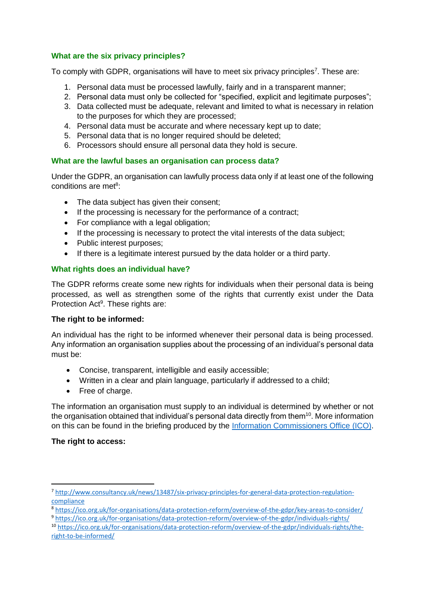## <span id="page-2-0"></span>**What are the six privacy principles?**

To comply with GDPR, organisations will have to meet six privacy principles<sup>7</sup>. These are:

- 1. Personal data must be processed lawfully, fairly and in a transparent manner;
- 2. Personal data must only be collected for "specified, explicit and legitimate purposes";
- 3. Data collected must be adequate, relevant and limited to what is necessary in relation to the purposes for which they are processed;
- 4. Personal data must be accurate and where necessary kept up to date;
- 5. Personal data that is no longer required should be deleted;
- 6. Processors should ensure all personal data they hold is secure.

## <span id="page-2-1"></span>**What are the lawful bases an organisation can process data?**

Under the GDPR, an organisation can lawfully process data only if at least one of the following conditions are met<sup>8</sup>:

- The data subject has given their consent;
- If the processing is necessary for the performance of a contract;
- For compliance with a legal obligation;
- If the processing is necessary to protect the vital interests of the data subject;
- Public interest purposes;
- If there is a legitimate interest pursued by the data holder or a third party.

## <span id="page-2-2"></span>**What rights does an individual have?**

The GDPR reforms create some new rights for individuals when their personal data is being processed, as well as strengthen some of the rights that currently exist under the Data Protection Act<sup>9</sup>. These rights are:

#### **The right to be informed:**

An individual has the right to be informed whenever their personal data is being processed. Any information an organisation supplies about the processing of an individual's personal data must be:

- Concise, transparent, intelligible and easily accessible;
- Written in a clear and plain language, particularly if addressed to a child;
- Free of charge.

The information an organisation must supply to an individual is determined by whether or not the organisation obtained that individual's personal data directly from them<sup>10</sup>. More information on this can be found in the briefing produced by the [Information Commissioners Office](https://ico.org.uk/for-organisations/data-protection-reform/) (ICO).

#### **The right to access:**

**.** 

<sup>7</sup> [http://www.consultancy.uk/news/13487/six-privacy-principles-for-general-data-protection-regulation](http://www.consultancy.uk/news/13487/six-privacy-principles-for-general-data-protection-regulation-compliance)[compliance](http://www.consultancy.uk/news/13487/six-privacy-principles-for-general-data-protection-regulation-compliance)

<sup>8</sup> <https://ico.org.uk/for-organisations/data-protection-reform/overview-of-the-gdpr/key-areas-to-consider/>

<sup>9</sup> <https://ico.org.uk/for-organisations/data-protection-reform/overview-of-the-gdpr/individuals-rights/>

<sup>10</sup> [https://ico.org.uk/for-organisations/data-protection-reform/overview-of-the-gdpr/individuals-rights/the](https://ico.org.uk/for-organisations/data-protection-reform/overview-of-the-gdpr/individuals-rights/the-right-to-be-informed/)[right-to-be-informed/](https://ico.org.uk/for-organisations/data-protection-reform/overview-of-the-gdpr/individuals-rights/the-right-to-be-informed/)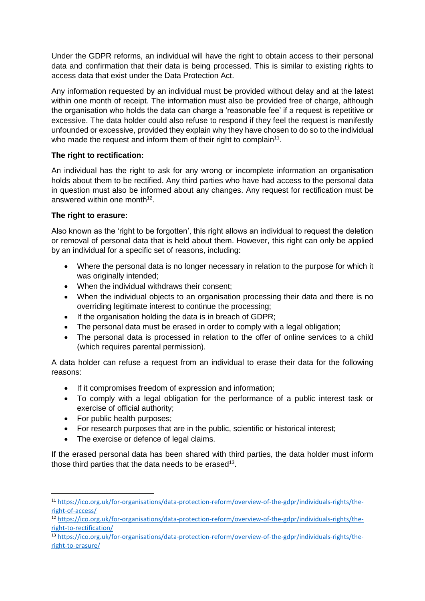Under the GDPR reforms, an individual will have the right to obtain access to their personal data and confirmation that their data is being processed. This is similar to existing rights to access data that exist under the Data Protection Act.

Any information requested by an individual must be provided without delay and at the latest within one month of receipt. The information must also be provided free of charge, although the organisation who holds the data can charge a 'reasonable fee' if a request is repetitive or excessive. The data holder could also refuse to respond if they feel the request is manifestly unfounded or excessive, provided they explain why they have chosen to do so to the individual who made the request and inform them of their right to complain<sup>11</sup>.

## **The right to rectification:**

An individual has the right to ask for any wrong or incomplete information an organisation holds about them to be rectified. Any third parties who have had access to the personal data in question must also be informed about any changes. Any request for rectification must be answered within one month<sup>12</sup>.

## **The right to erasure:**

Also known as the 'right to be forgotten', this right allows an individual to request the deletion or removal of personal data that is held about them. However, this right can only be applied by an individual for a specific set of reasons, including:

- Where the personal data is no longer necessary in relation to the purpose for which it was originally intended;
- When the individual withdraws their consent;
- When the individual objects to an organisation processing their data and there is no overriding legitimate interest to continue the processing;
- If the organisation holding the data is in breach of GDPR;
- The personal data must be erased in order to comply with a legal obligation;
- The personal data is processed in relation to the offer of online services to a child (which requires parental permission).

A data holder can refuse a request from an individual to erase their data for the following reasons:

- If it compromises freedom of expression and information;
- To comply with a legal obligation for the performance of a public interest task or exercise of official authority;
- For public health purposes:

**.** 

- For research purposes that are in the public, scientific or historical interest;
- The exercise or defence of legal claims.

If the erased personal data has been shared with third parties, the data holder must inform those third parties that the data needs to be erased $13$ .

<sup>11</sup> [https://ico.org.uk/for-organisations/data-protection-reform/overview-of-the-gdpr/individuals-rights/the](https://ico.org.uk/for-organisations/data-protection-reform/overview-of-the-gdpr/individuals-rights/the-right-of-access/)[right-of-access/](https://ico.org.uk/for-organisations/data-protection-reform/overview-of-the-gdpr/individuals-rights/the-right-of-access/)

<sup>&</sup>lt;sup>12</sup> [https://ico.org.uk/for-organisations/data-protection-reform/overview-of-the-gdpr/individuals-rights/the](https://ico.org.uk/for-organisations/data-protection-reform/overview-of-the-gdpr/individuals-rights/the-right-to-rectification/)[right-to-rectification/](https://ico.org.uk/for-organisations/data-protection-reform/overview-of-the-gdpr/individuals-rights/the-right-to-rectification/)

<sup>13</sup> [https://ico.org.uk/for-organisations/data-protection-reform/overview-of-the-gdpr/individuals-rights/the](https://ico.org.uk/for-organisations/data-protection-reform/overview-of-the-gdpr/individuals-rights/the-right-to-erasure/)[right-to-erasure/](https://ico.org.uk/for-organisations/data-protection-reform/overview-of-the-gdpr/individuals-rights/the-right-to-erasure/)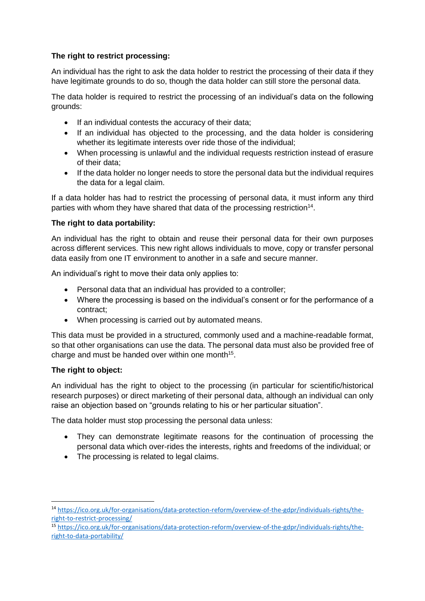## **The right to restrict processing:**

An individual has the right to ask the data holder to restrict the processing of their data if they have legitimate grounds to do so, though the data holder can still store the personal data.

The data holder is required to restrict the processing of an individual's data on the following grounds:

- If an individual contests the accuracy of their data;
- If an individual has objected to the processing, and the data holder is considering whether its legitimate interests over ride those of the individual:
- When processing is unlawful and the individual requests restriction instead of erasure of their data;
- If the data holder no longer needs to store the personal data but the individual requires the data for a legal claim.

If a data holder has had to restrict the processing of personal data, it must inform any third parties with whom they have shared that data of the processing restriction<sup>14</sup>.

#### **The right to data portability:**

An individual has the right to obtain and reuse their personal data for their own purposes across different services. This new right allows individuals to move, copy or transfer personal data easily from one IT environment to another in a safe and secure manner.

An individual's right to move their data only applies to:

- Personal data that an individual has provided to a controller;
- Where the processing is based on the individual's consent or for the performance of a contract;
- When processing is carried out by automated means.

This data must be provided in a structured, commonly used and a machine-readable format, so that other organisations can use the data. The personal data must also be provided free of charge and must be handed over within one month<sup>15</sup>.

#### **The right to object:**

 $\overline{a}$ 

An individual has the right to object to the processing (in particular for scientific/historical research purposes) or direct marketing of their personal data, although an individual can only raise an objection based on "grounds relating to his or her particular situation".

The data holder must stop processing the personal data unless:

- They can demonstrate legitimate reasons for the continuation of processing the personal data which over-rides the interests, rights and freedoms of the individual; or
- The processing is related to legal claims.

<sup>14</sup> [https://ico.org.uk/for-organisations/data-protection-reform/overview-of-the-gdpr/individuals-rights/the](https://ico.org.uk/for-organisations/data-protection-reform/overview-of-the-gdpr/individuals-rights/the-right-to-restrict-processing/)[right-to-restrict-processing/](https://ico.org.uk/for-organisations/data-protection-reform/overview-of-the-gdpr/individuals-rights/the-right-to-restrict-processing/)

<sup>15</sup> [https://ico.org.uk/for-organisations/data-protection-reform/overview-of-the-gdpr/individuals-rights/the](https://ico.org.uk/for-organisations/data-protection-reform/overview-of-the-gdpr/individuals-rights/the-right-to-data-portability/)[right-to-data-portability/](https://ico.org.uk/for-organisations/data-protection-reform/overview-of-the-gdpr/individuals-rights/the-right-to-data-portability/)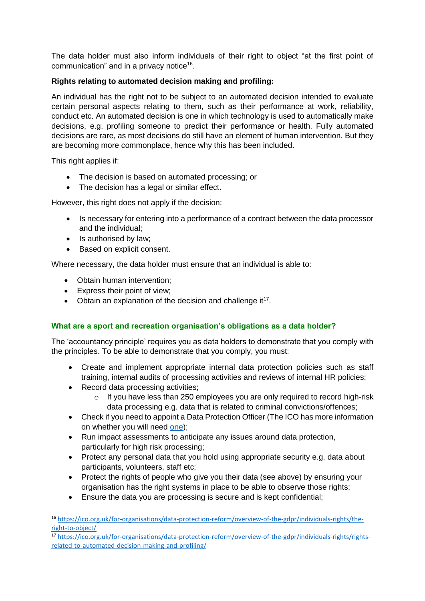The data holder must also inform individuals of their right to object "at the first point of communication" and in a privacy notice<sup>16</sup>.

## **Rights relating to automated decision making and profiling:**

An individual has the right not to be subject to an automated decision intended to evaluate certain personal aspects relating to them, such as their performance at work, reliability, conduct etc. An automated decision is one in which technology is used to automatically make decisions, e.g. profiling someone to predict their performance or health. Fully automated decisions are rare, as most decisions do still have an element of human intervention. But they are becoming more commonplace, hence why this has been included.

This right applies if:

1

- The decision is based on automated processing; or
- The decision has a legal or similar effect.

However, this right does not apply if the decision:

- Is necessary for entering into a performance of a contract between the data processor and the individual;
- Is authorised by law;
- Based on explicit consent.

Where necessary, the data holder must ensure that an individual is able to:

- Obtain human intervention;
- Express their point of view;
- Obtain an explanation of the decision and challenge it<sup>17</sup>.

## <span id="page-5-0"></span>**What are a sport and recreation organisation's obligations as a data holder?**

The 'accountancy principle' requires you as data holders to demonstrate that you comply with the principles. To be able to demonstrate that you comply, you must:

- Create and implement appropriate internal data protection policies such as staff training, internal audits of processing activities and reviews of internal HR policies;
- Record data processing activities;
	- o If you have less than 250 employees you are only required to record high-risk data processing e.g. data that is related to criminal convictions/offences;
- Check if you need to appoint a Data Protection Officer (The ICO has more information on whether you will need [one\)](https://ico.org.uk/for-organisations/data-protection-reform/);
- Run impact assessments to anticipate any issues around data protection, particularly for high risk processing;
- Protect any personal data that you hold using appropriate security e.g. data about participants, volunteers, staff etc;
- Protect the rights of people who give you their data (see above) by ensuring your organisation has the right systems in place to be able to observe those rights;
- Ensure the data you are processing is secure and is kept confidential;

<sup>16</sup> [https://ico.org.uk/for-organisations/data-protection-reform/overview-of-the-gdpr/individuals-rights/the](https://ico.org.uk/for-organisations/data-protection-reform/overview-of-the-gdpr/individuals-rights/the-right-to-object/)[right-to-object/](https://ico.org.uk/for-organisations/data-protection-reform/overview-of-the-gdpr/individuals-rights/the-right-to-object/)

<sup>17</sup> [https://ico.org.uk/for-organisations/data-protection-reform/overview-of-the-gdpr/individuals-rights/rights](https://ico.org.uk/for-organisations/data-protection-reform/overview-of-the-gdpr/individuals-rights/rights-related-to-automated-decision-making-and-profiling/)[related-to-automated-decision-making-and-profiling/](https://ico.org.uk/for-organisations/data-protection-reform/overview-of-the-gdpr/individuals-rights/rights-related-to-automated-decision-making-and-profiling/)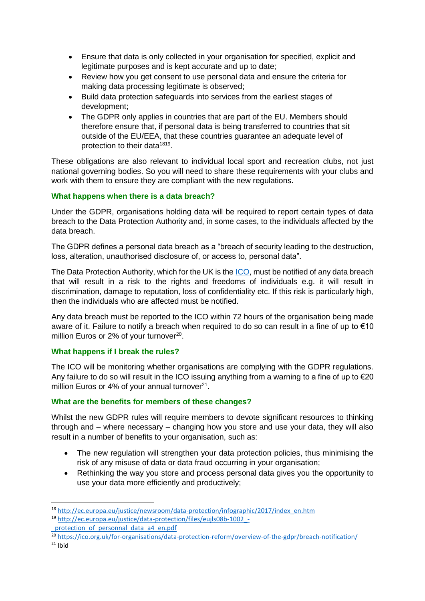- Ensure that data is only collected in your organisation for specified, explicit and legitimate purposes and is kept accurate and up to date;
- Review how you get consent to use personal data and ensure the criteria for making data processing legitimate is observed;
- Build data protection safeguards into services from the earliest stages of development;
- The GDPR only applies in countries that are part of the EU. Members should therefore ensure that, if personal data is being transferred to countries that sit outside of the EU/EEA, that these countries guarantee an adequate level of protection to their data<sup>1819</sup>.

These obligations are also relevant to individual local sport and recreation clubs, not just national governing bodies. So you will need to share these requirements with your clubs and work with them to ensure they are compliant with the new regulations.

## <span id="page-6-0"></span>**What happens when there is a data breach?**

Under the GDPR, organisations holding data will be required to report certain types of data breach to the Data Protection Authority and, in some cases, to the individuals affected by the data breach.

The GDPR defines a personal data breach as a "breach of security leading to the destruction, loss, alteration, unauthorised disclosure of, or access to, personal data".

The Data Protection Authority, which for the UK is the [ICO,](https://ico.org.uk/) must be notified of any data breach that will result in a risk to the rights and freedoms of individuals e.g. it will result in discrimination, damage to reputation, loss of confidentiality etc. If this risk is particularly high, then the individuals who are affected must be notified.

Any data breach must be reported to the ICO within 72 hours of the organisation being made aware of it. Failure to notify a breach when required to do so can result in a fine of up to €10 million Euros or 2% of your turnover<sup>20</sup>.

#### <span id="page-6-1"></span>**What happens if I break the rules?**

The ICO will be monitoring whether organisations are complying with the GDPR regulations. Any failure to do so will result in the ICO issuing anything from a warning to a fine of up to €20 million Euros or 4% of your annual turnover $21$ .

#### <span id="page-6-2"></span>**What are the benefits for members of these changes?**

Whilst the new GDPR rules will require members to devote significant resources to thinking through and – where necessary – changing how you store and use your data, they will also result in a number of benefits to your organisation, such as:

- The new regulation will strengthen your data protection policies, thus minimising the risk of any misuse of data or data fraud occurring in your organisation;
- Rethinking the way you store and process personal data gives you the opportunity to use your data more efficiently and productively;

- protection of personnal data a4 en.pdf
- <sup>20</sup> <https://ico.org.uk/for-organisations/data-protection-reform/overview-of-the-gdpr/breach-notification/>

**.** 

<sup>18</sup> [http://ec.europa.eu/justice/newsroom/data-protection/infographic/2017/index\\_en.htm](http://ec.europa.eu/justice/newsroom/data-protection/infographic/2017/index_en.htm)

<sup>19</sup> [http://ec.europa.eu/justice/data-protection/files/eujls08b-1002\\_-](http://ec.europa.eu/justice/data-protection/files/eujls08b-1002_-_protection_of_personnal_data_a4_en.pdf)